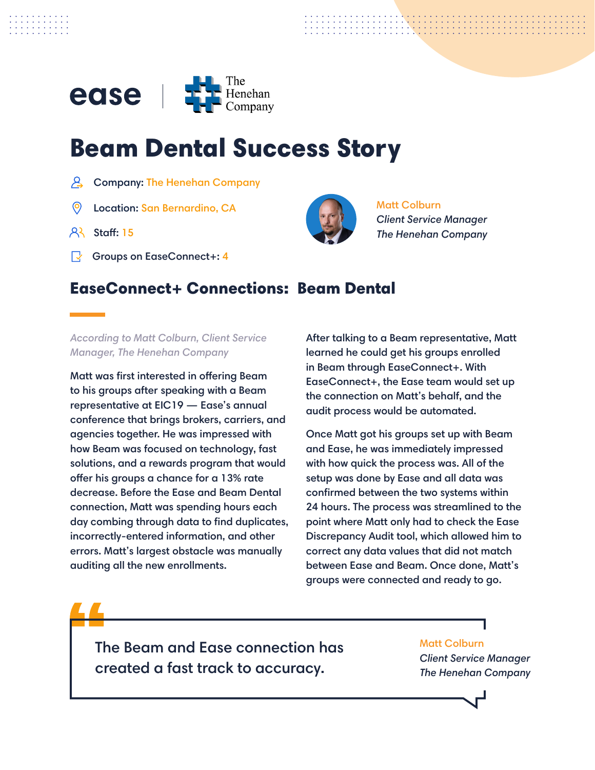

# Beam Dental Success Story

- $\beta$  Company: The Henehan Company
- Location: San Bernardino, CA Matt Colburn
- $AR$  Staff: 15
- Groups on EaseConnect+: 4



*Client Service Manager The Henehan Company*

## EaseConnect+ Connections: Beam Dental

*According to Matt Colburn, Client Service Manager, The Henehan Company*

Matt was first interested in offering Beam to his groups after speaking with a Beam representative at EIC19 — Ease's annual conference that brings brokers, carriers, and agencies together. He was impressed with how Beam was focused on technology, fast solutions, and a rewards program that would offer his groups a chance for a 13% rate decrease. Before the Ease and Beam Dental connection, Matt was spending hours each day combing through data to find duplicates, incorrectly-entered information, and other errors. Matt's largest obstacle was manually auditing all the new enrollments.

After talking to a Beam representative, Matt learned he could get his groups enrolled in Beam through EaseConnect+. With EaseConnect+, the Ease team would set up the connection on Matt's behalf, and the audit process would be automated.

Once Matt got his groups set up with Beam and Ease, he was immediately impressed with how quick the process was. All of the setup was done by Ease and all data was confirmed between the two systems within 24 hours. The process was streamlined to the point where Matt only had to check the Ease Discrepancy Audit tool, which allowed him to correct any data values that did not match between Ease and Beam. Once done, Matt's groups were connected and ready to go.

The Beam and Ease connection has created a fast track to accuracy.

### Matt Colburn

*Client Service Manager The Henehan Company*